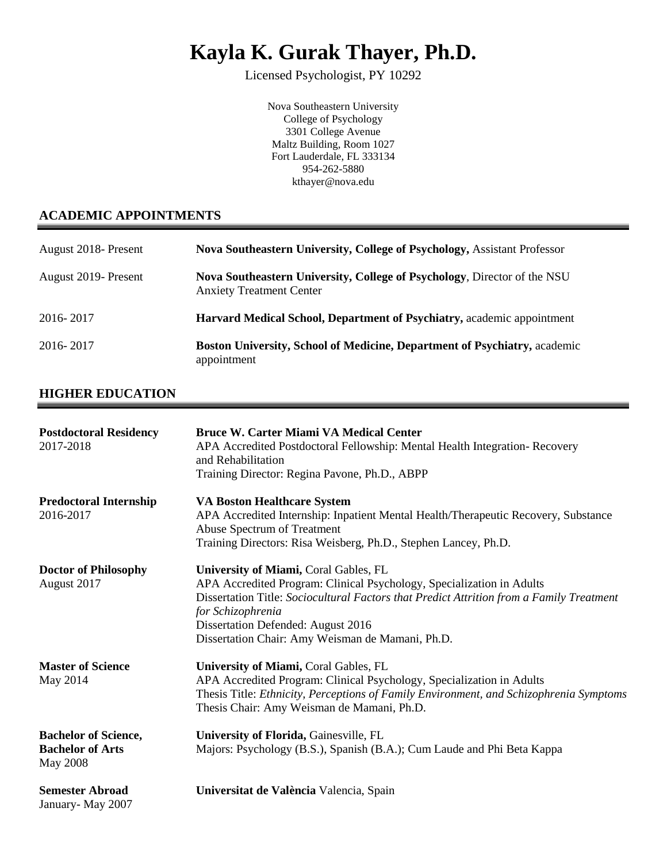# **Kayla K. Gurak Thayer, Ph.D.**

Licensed Psychologist, PY 10292

Nova Southeastern University College of Psychology 3301 College Avenue Maltz Building, Room 1027 Fort Lauderdale, FL 333134 954-262-5880 kthayer@nova.edu

## **ACADEMIC APPOINTMENTS**

| August 2018 - Present | <b>Nova Southeastern University, College of Psychology, Assistant Professor</b>                             |
|-----------------------|-------------------------------------------------------------------------------------------------------------|
| August 2019 Present   | Nova Southeastern University, College of Psychology, Director of the NSU<br><b>Anxiety Treatment Center</b> |
| 2016-2017             | <b>Harvard Medical School, Department of Psychiatry, academic appointment</b>                               |
| 2016-2017             | <b>Boston University, School of Medicine, Department of Psychiatry, academic</b><br>appointment             |

## **HIGHER EDUCATION**

| <b>Postdoctoral Residency</b><br>2017-2018                                | <b>Bruce W. Carter Miami VA Medical Center</b><br>APA Accredited Postdoctoral Fellowship: Mental Health Integration-Recovery<br>and Rehabilitation<br>Training Director: Regina Pavone, Ph.D., ABPP                                                                                                                              |
|---------------------------------------------------------------------------|----------------------------------------------------------------------------------------------------------------------------------------------------------------------------------------------------------------------------------------------------------------------------------------------------------------------------------|
| <b>Predoctoral Internship</b><br>2016-2017                                | <b>VA Boston Healthcare System</b><br>APA Accredited Internship: Inpatient Mental Health/Therapeutic Recovery, Substance<br>Abuse Spectrum of Treatment<br>Training Directors: Risa Weisberg, Ph.D., Stephen Lancey, Ph.D.                                                                                                       |
| <b>Doctor of Philosophy</b><br>August 2017                                | <b>University of Miami, Coral Gables, FL</b><br>APA Accredited Program: Clinical Psychology, Specialization in Adults<br>Dissertation Title: Sociocultural Factors that Predict Attrition from a Family Treatment<br>for Schizophrenia<br>Dissertation Defended: August 2016<br>Dissertation Chair: Amy Weisman de Mamani, Ph.D. |
| <b>Master of Science</b><br>May 2014                                      | <b>University of Miami, Coral Gables, FL</b><br>APA Accredited Program: Clinical Psychology, Specialization in Adults<br>Thesis Title: Ethnicity, Perceptions of Family Environment, and Schizophrenia Symptoms<br>Thesis Chair: Amy Weisman de Mamani, Ph.D.                                                                    |
| <b>Bachelor of Science,</b><br><b>Bachelor of Arts</b><br><b>May 2008</b> | University of Florida, Gainesville, FL<br>Majors: Psychology (B.S.), Spanish (B.A.); Cum Laude and Phi Beta Kappa                                                                                                                                                                                                                |
| <b>Semester Abroad</b><br>January-May 2007                                | Universitat de València Valencia, Spain                                                                                                                                                                                                                                                                                          |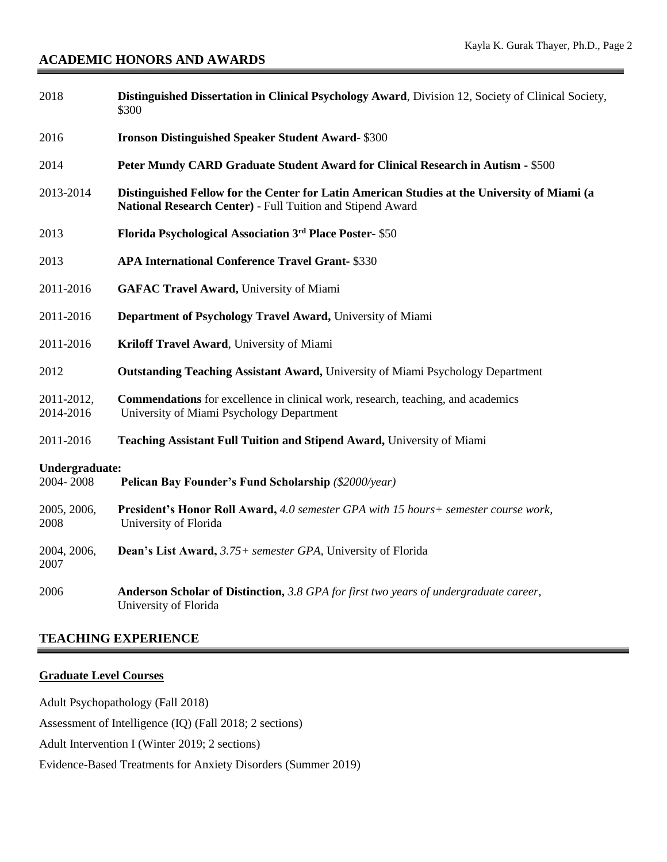#### **ACADEMIC HONORS AND AWARDS**

| 2018                                                                                | Distinguished Dissertation in Clinical Psychology Award, Division 12, Society of Clinical Society,<br>\$300                                                |  |
|-------------------------------------------------------------------------------------|------------------------------------------------------------------------------------------------------------------------------------------------------------|--|
| 2016                                                                                | <b>Ironson Distinguished Speaker Student Award-\$300</b>                                                                                                   |  |
| 2014                                                                                | Peter Mundy CARD Graduate Student Award for Clinical Research in Autism - \$500                                                                            |  |
| 2013-2014                                                                           | Distinguished Fellow for the Center for Latin American Studies at the University of Miami (a<br>National Research Center) - Full Tuition and Stipend Award |  |
| 2013                                                                                | Florida Psychological Association 3rd Place Poster- \$50                                                                                                   |  |
| 2013                                                                                | <b>APA International Conference Travel Grant- \$330</b>                                                                                                    |  |
| 2011-2016                                                                           | <b>GAFAC Travel Award, University of Miami</b>                                                                                                             |  |
| 2011-2016                                                                           | Department of Psychology Travel Award, University of Miami                                                                                                 |  |
| 2011-2016                                                                           | Kriloff Travel Award, University of Miami                                                                                                                  |  |
| 2012                                                                                | <b>Outstanding Teaching Assistant Award, University of Miami Psychology Department</b>                                                                     |  |
| 2011-2012,<br>2014-2016                                                             | <b>Commendations</b> for excellence in clinical work, research, teaching, and academics<br>University of Miami Psychology Department                       |  |
| 2011-2016                                                                           | Teaching Assistant Full Tuition and Stipend Award, University of Miami                                                                                     |  |
| Undergraduate:<br>2004-2008<br>Pelican Bay Founder's Fund Scholarship (\$2000/year) |                                                                                                                                                            |  |
| 2005, 2006,<br>2008                                                                 | President's Honor Roll Award, 4.0 semester GPA with 15 hours+ semester course work,<br>University of Florida                                               |  |
| 2004, 2006,<br>2007                                                                 | <b>Dean's List Award, 3.75+ semester GPA, University of Florida</b>                                                                                        |  |
| 2006                                                                                | <b>Anderson Scholar of Distinction,</b> 3.8 GPA for first two years of undergraduate career,<br>University of Florida                                      |  |

#### **TEACHING EXPERIENCE**

#### **Graduate Level Courses**

Adult Psychopathology (Fall 2018)

Assessment of Intelligence (IQ) (Fall 2018; 2 sections)

Adult Intervention I (Winter 2019; 2 sections)

Evidence-Based Treatments for Anxiety Disorders (Summer 2019)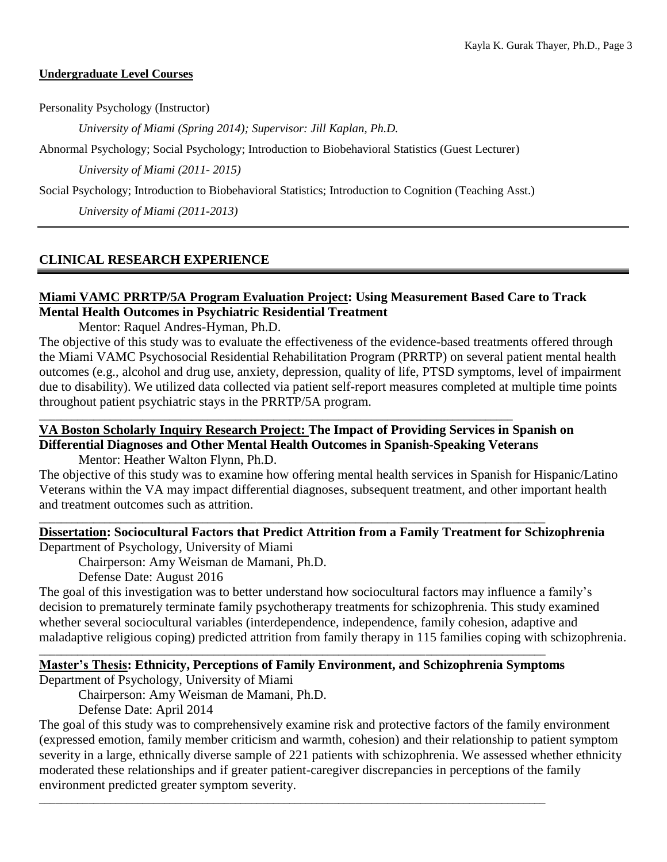#### **Undergraduate Level Courses**

Personality Psychology (Instructor)

*University of Miami (Spring 2014); Supervisor: Jill Kaplan, Ph.D.*

Abnormal Psychology; Social Psychology; Introduction to Biobehavioral Statistics (Guest Lecturer)

*University of Miami (2011- 2015)*

Social Psychology; Introduction to Biobehavioral Statistics; Introduction to Cognition (Teaching Asst.)

*University of Miami (2011-2013)*

## **CLINICAL RESEARCH EXPERIENCE**

## **Miami VAMC PRRTP/5A Program Evaluation Project: Using Measurement Based Care to Track Mental Health Outcomes in Psychiatric Residential Treatment**

Mentor: Raquel Andres-Hyman, Ph.D.

The objective of this study was to evaluate the effectiveness of the evidence-based treatments offered through the Miami VAMC Psychosocial Residential Rehabilitation Program (PRRTP) on several patient mental health outcomes (e.g., alcohol and drug use, anxiety, depression, quality of life, PTSD symptoms, level of impairment due to disability). We utilized data collected via patient self-report measures completed at multiple time points throughout patient psychiatric stays in the PRRTP/5A program.

## **VA Boston Scholarly Inquiry Research Project: The Impact of Providing Services in Spanish on Differential Diagnoses and Other Mental Health Outcomes in Spanish-Speaking Veterans**

\_\_\_\_\_\_\_\_\_\_\_\_\_\_\_\_\_\_\_\_\_\_\_\_\_\_\_\_\_\_\_\_\_\_\_\_\_\_\_\_\_\_\_\_\_\_\_\_\_\_\_\_\_\_\_\_\_\_\_\_\_\_\_\_\_\_\_\_\_\_\_\_\_\_\_\_\_\_\_\_\_\_\_\_\_\_\_\_\_\_\_\_\_

\_\_\_\_\_\_\_\_\_\_\_\_\_\_\_\_\_\_\_\_\_\_\_\_\_\_\_\_\_\_\_\_\_\_\_\_\_\_\_\_\_\_\_\_\_\_\_\_\_\_\_\_\_\_\_\_\_\_\_\_\_\_\_\_\_\_\_\_\_\_\_\_\_\_\_\_\_\_\_\_\_\_\_\_\_\_\_

Mentor: Heather Walton Flynn, Ph.D.

The objective of this study was to examine how offering mental health services in Spanish for Hispanic/Latino Veterans within the VA may impact differential diagnoses, subsequent treatment, and other important health and treatment outcomes such as attrition.

#### **Dissertation: Sociocultural Factors that Predict Attrition from a Family Treatment for Schizophrenia** Department of Psychology, University of Miami

Chairperson: Amy Weisman de Mamani, Ph.D.

Defense Date: August 2016

The goal of this investigation was to better understand how sociocultural factors may influence a family's decision to prematurely terminate family psychotherapy treatments for schizophrenia. This study examined whether several sociocultural variables (interdependence, independence, family cohesion, adaptive and maladaptive religious coping) predicted attrition from family therapy in 115 families coping with schizophrenia.

#### **Master's Thesis: Ethnicity, Perceptions of Family Environment, and Schizophrenia Symptoms** Department of Psychology, University of Miami

\_\_\_\_\_\_\_\_\_\_\_\_\_\_\_\_\_\_\_\_\_\_\_\_\_\_\_\_\_\_\_\_\_\_\_\_\_\_\_\_\_\_\_\_\_\_\_\_\_\_\_\_\_\_\_\_\_\_\_\_\_\_\_\_\_\_\_\_\_\_\_\_\_\_\_\_\_\_\_\_\_\_\_\_\_\_\_\_\_\_\_\_\_

\_\_\_\_\_\_\_\_\_\_\_\_\_\_\_\_\_\_\_\_\_\_\_\_\_\_\_\_\_\_\_\_\_\_\_\_\_\_\_\_\_\_\_\_\_\_\_\_\_\_\_\_\_\_\_\_\_\_\_\_\_\_\_\_\_\_\_\_\_\_\_\_\_\_\_\_\_\_\_\_\_\_\_\_\_\_\_\_\_\_\_\_\_

Chairperson: Amy Weisman de Mamani, Ph.D.

Defense Date: April 2014

The goal of this study was to comprehensively examine risk and protective factors of the family environment (expressed emotion, family member criticism and warmth, cohesion) and their relationship to patient symptom severity in a large, ethnically diverse sample of 221 patients with schizophrenia. We assessed whether ethnicity moderated these relationships and if greater patient-caregiver discrepancies in perceptions of the family environment predicted greater symptom severity.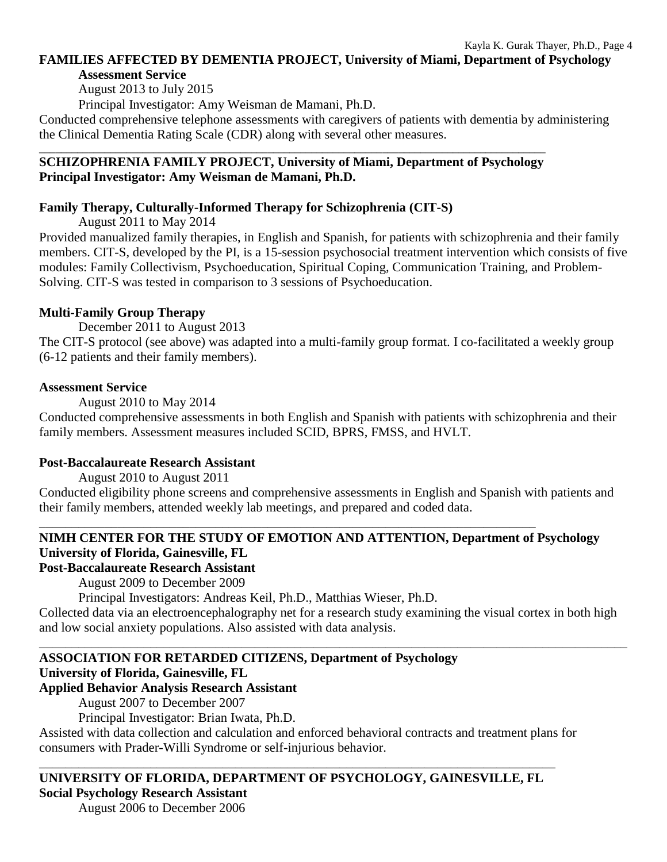#### **FAMILIES AFFECTED BY DEMENTIA PROJECT, University of Miami, Department of Psychology Assessment Service**

August 2013 to July 2015

Principal Investigator: Amy Weisman de Mamani, Ph.D.

Conducted comprehensive telephone assessments with caregivers of patients with dementia by administering the Clinical Dementia Rating Scale (CDR) along with several other measures.

#### $\_$  ,  $\_$  ,  $\_$  ,  $\_$  ,  $\_$  ,  $\_$  ,  $\_$  ,  $\_$  ,  $\_$  ,  $\_$  ,  $\_$  ,  $\_$  ,  $\_$  ,  $\_$  ,  $\_$  ,  $\_$  ,  $\_$  ,  $\_$  ,  $\_$  ,  $\_$  ,  $\_$  ,  $\_$  ,  $\_$  ,  $\_$  ,  $\_$  ,  $\_$  ,  $\_$  ,  $\_$  ,  $\_$  ,  $\_$  ,  $\_$  ,  $\_$  ,  $\_$  ,  $\_$  ,  $\_$  ,  $\_$  ,  $\_$  , **SCHIZOPHRENIA FAMILY PROJECT, University of Miami, Department of Psychology Principal Investigator: Amy Weisman de Mamani, Ph.D.**

## **Family Therapy, Culturally-Informed Therapy for Schizophrenia (CIT-S)**

August 2011 to May 2014

Provided manualized family therapies, in English and Spanish, for patients with schizophrenia and their family members. CIT-S, developed by the PI, is a 15-session psychosocial treatment intervention which consists of five modules: Family Collectivism, Psychoeducation, Spiritual Coping, Communication Training, and Problem-Solving. CIT-S was tested in comparison to 3 sessions of Psychoeducation.

## **Multi-Family Group Therapy**

December 2011 to August 2013

The CIT-S protocol (see above) was adapted into a multi-family group format. I co-facilitated a weekly group (6-12 patients and their family members).

## **Assessment Service**

August 2010 to May 2014

Conducted comprehensive assessments in both English and Spanish with patients with schizophrenia and their family members. Assessment measures included SCID, BPRS, FMSS, and HVLT.

## **Post-Baccalaureate Research Assistant**

August 2010 to August 2011

Conducted eligibility phone screens and comprehensive assessments in English and Spanish with patients and their family members, attended weekly lab meetings, and prepared and coded data.

## \_\_\_\_\_\_\_\_\_\_\_\_\_\_\_\_\_\_\_\_\_\_\_\_\_\_\_\_\_\_\_\_\_\_\_\_\_\_\_\_\_\_\_\_\_\_\_\_\_\_\_\_\_\_\_\_\_\_\_\_\_\_\_\_\_\_\_\_\_\_\_\_\_\_\_\_ **NIMH CENTER FOR THE STUDY OF EMOTION AND ATTENTION, Department of Psychology University of Florida, Gainesville, FL**

## **Post-Baccalaureate Research Assistant**

August 2009 to December 2009

Principal Investigators: Andreas Keil, Ph.D., Matthias Wieser, Ph.D.

Collected data via an electroencephalography net for a research study examining the visual cortex in both high and low social anxiety populations. Also assisted with data analysis.

\_\_\_\_\_\_\_\_\_\_\_\_\_\_\_\_\_\_\_\_\_\_\_\_\_\_\_\_\_\_\_\_\_\_\_\_\_\_\_\_\_\_\_\_\_\_\_\_\_\_\_\_\_\_\_\_\_\_\_\_\_\_\_\_\_\_\_\_\_\_\_\_\_\_\_\_\_\_\_\_\_\_\_\_\_\_\_\_\_\_

## **ASSOCIATION FOR RETARDED CITIZENS, Department of Psychology**

## **University of Florida, Gainesville, FL**

## **Applied Behavior Analysis Research Assistant**

August 2007 to December 2007

Principal Investigator: Brian Iwata, Ph.D.

Assisted with data collection and calculation and enforced behavioral contracts and treatment plans for consumers with Prader-Willi Syndrome or self-injurious behavior.

#### **UNIVERSITY OF FLORIDA, DEPARTMENT OF PSYCHOLOGY, GAINESVILLE, FL Social Psychology Research Assistant**

\_\_\_\_\_\_\_\_\_\_\_\_\_\_\_\_\_\_\_\_\_\_\_\_\_\_\_\_\_\_\_\_\_\_\_\_\_\_\_\_\_\_\_\_\_\_\_\_\_\_\_\_\_\_\_\_\_\_\_\_\_\_\_\_\_\_\_\_\_\_\_\_\_\_\_\_\_\_\_

August 2006 to December 2006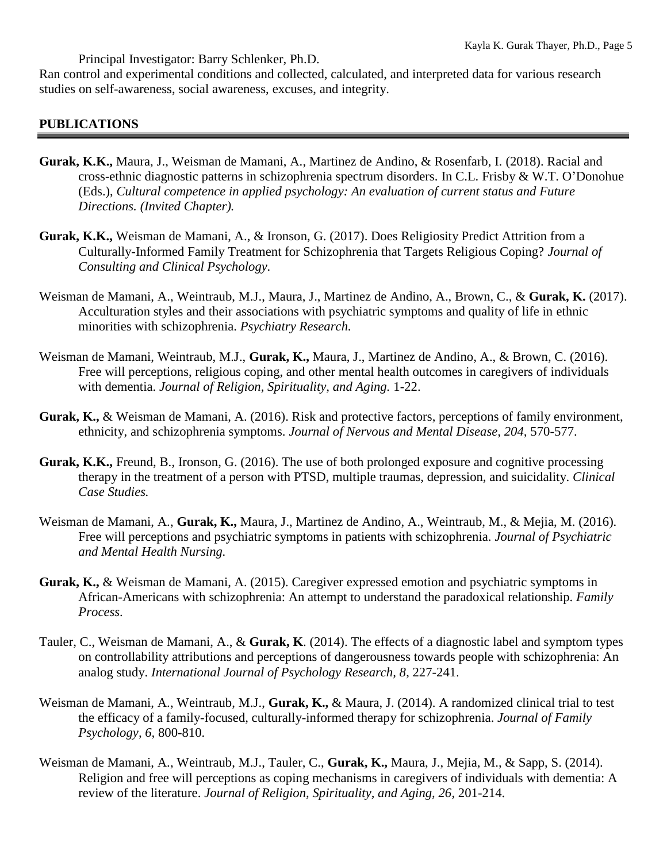Principal Investigator: Barry Schlenker, Ph.D.

Ran control and experimental conditions and collected, calculated, and interpreted data for various research studies on self-awareness, social awareness, excuses, and integrity.

#### **PUBLICATIONS**

- **Gurak, K.K.,** Maura, J., Weisman de Mamani, A., Martinez de Andino, & Rosenfarb, I. (2018). Racial and cross-ethnic diagnostic patterns in schizophrenia spectrum disorders. In C.L. Frisby & W.T. O'Donohue (Eds.), *Cultural competence in applied psychology: An evaluation of current status and Future Directions. (Invited Chapter).*
- **Gurak, K.K.,** Weisman de Mamani, A., & Ironson, G. (2017). Does Religiosity Predict Attrition from a Culturally-Informed Family Treatment for Schizophrenia that Targets Religious Coping? *Journal of Consulting and Clinical Psychology.*
- Weisman de Mamani, A., Weintraub, M.J., Maura, J., Martinez de Andino, A., Brown, C., & **Gurak, K.** (2017). Acculturation styles and their associations with psychiatric symptoms and quality of life in ethnic minorities with schizophrenia. *Psychiatry Research.*
- Weisman de Mamani, Weintraub, M.J., **Gurak, K.,** Maura, J., Martinez de Andino, A., & Brown, C. (2016). Free will perceptions, religious coping, and other mental health outcomes in caregivers of individuals with dementia. *Journal of Religion, Spirituality, and Aging.* 1-22.
- **Gurak, K.,** & Weisman de Mamani, A. (2016). Risk and protective factors, perceptions of family environment, ethnicity, and schizophrenia symptoms. *Journal of Nervous and Mental Disease, 204,* 570-577.
- **Gurak, K.K.,** Freund, B., Ironson, G. (2016). The use of both prolonged exposure and cognitive processing therapy in the treatment of a person with PTSD, multiple traumas, depression, and suicidality. *Clinical Case Studies.*
- Weisman de Mamani, A., **Gurak, K.,** Maura, J., Martinez de Andino, A., Weintraub, M., & Mejia, M. (2016). Free will perceptions and psychiatric symptoms in patients with schizophrenia. *Journal of Psychiatric and Mental Health Nursing.*
- **Gurak, K.,** & Weisman de Mamani, A. (2015). Caregiver expressed emotion and psychiatric symptoms in African-Americans with schizophrenia: An attempt to understand the paradoxical relationship. *Family Process*.
- Tauler, C., Weisman de Mamani, A., & **Gurak, K**. (2014). The effects of a diagnostic label and symptom types on controllability attributions and perceptions of dangerousness towards people with schizophrenia: An analog study. *International Journal of Psychology Research, 8*, 227-241.
- Weisman de Mamani, A., Weintraub, M.J., **Gurak, K.,** & Maura, J. (2014). A randomized clinical trial to test the efficacy of a family-focused, culturally-informed therapy for schizophrenia. *Journal of Family Psychology, 6,* 800-810.
- Weisman de Mamani, A., Weintraub, M.J., Tauler, C., **Gurak, K.,** Maura, J., Mejia, M., & Sapp, S. (2014). Religion and free will perceptions as coping mechanisms in caregivers of individuals with dementia: A review of the literature. *Journal of Religion, Spirituality, and Aging, 26*, 201-214.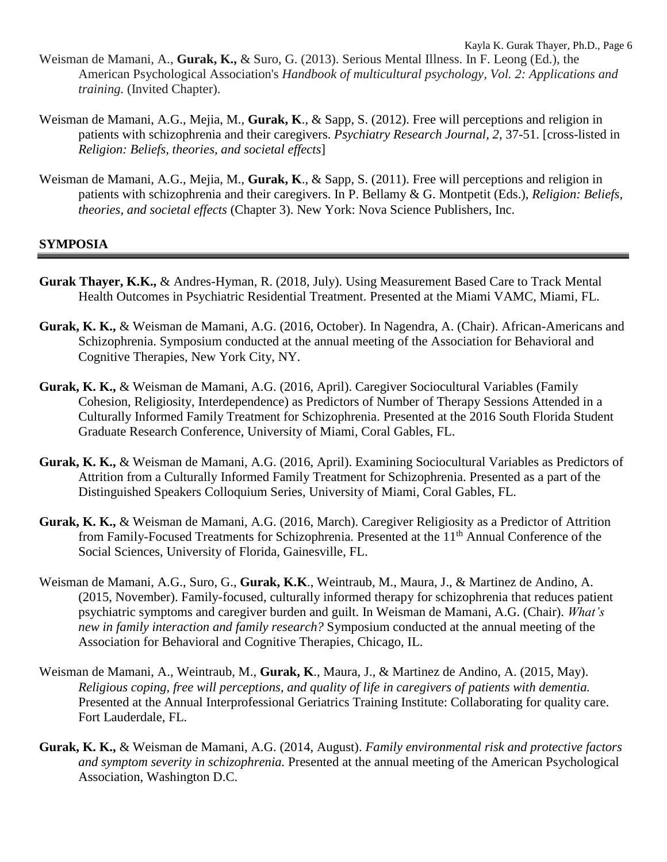- Kayla K. Gurak Thayer, Ph.D., Page 6 Weisman de Mamani, A., **Gurak, K.,** & Suro, G. (2013). Serious Mental Illness. In F. Leong (Ed.), the American Psychological Association's *Handbook of multicultural psychology, Vol. 2: Applications and training.* (Invited Chapter).
- Weisman de Mamani, A.G., Mejia, M., **Gurak, K**., & Sapp, S. (2012). Free will perceptions and religion in patients with schizophrenia and their caregivers. *Psychiatry Research Journal, 2*, 37-51. [cross-listed in *Religion: Beliefs, theories, and societal effects*]
- Weisman de Mamani, A.G., Mejia, M., **Gurak, K**., & Sapp, S. (2011). Free will perceptions and religion in patients with schizophrenia and their caregivers. In P. Bellamy & G. Montpetit (Eds.), *Religion: Beliefs, theories, and societal effects* (Chapter 3). New York: Nova Science Publishers, Inc.

#### **SYMPOSIA**

- **Gurak Thayer, K.K.,** & Andres-Hyman, R. (2018, July). Using Measurement Based Care to Track Mental Health Outcomes in Psychiatric Residential Treatment. Presented at the Miami VAMC, Miami, FL.
- **Gurak, K. K.,** & Weisman de Mamani, A.G. (2016, October). In Nagendra, A. (Chair). African-Americans and Schizophrenia. Symposium conducted at the annual meeting of the Association for Behavioral and Cognitive Therapies, New York City, NY.
- **Gurak, K. K.,** & Weisman de Mamani, A.G. (2016, April). Caregiver Sociocultural Variables (Family Cohesion, Religiosity, Interdependence) as Predictors of Number of Therapy Sessions Attended in a Culturally Informed Family Treatment for Schizophrenia. Presented at the 2016 South Florida Student Graduate Research Conference, University of Miami, Coral Gables, FL.
- **Gurak, K. K.,** & Weisman de Mamani, A.G. (2016, April). Examining Sociocultural Variables as Predictors of Attrition from a Culturally Informed Family Treatment for Schizophrenia. Presented as a part of the Distinguished Speakers Colloquium Series, University of Miami, Coral Gables, FL.
- **Gurak, K. K.,** & Weisman de Mamani, A.G. (2016, March). Caregiver Religiosity as a Predictor of Attrition from Family-Focused Treatments for Schizophrenia. Presented at the 11<sup>th</sup> Annual Conference of the Social Sciences, University of Florida, Gainesville, FL.
- Weisman de Mamani, A.G., Suro, G., **Gurak, K.K**., Weintraub, M., Maura, J., & Martinez de Andino, A. (2015, November). Family-focused, culturally informed therapy for schizophrenia that reduces patient psychiatric symptoms and caregiver burden and guilt. In Weisman de Mamani, A.G. (Chair). *What's new in family interaction and family research?* Symposium conducted at the annual meeting of the Association for Behavioral and Cognitive Therapies, Chicago, IL.
- Weisman de Mamani, A., Weintraub, M., **Gurak, K**., Maura, J., & Martinez de Andino, A. (2015, May). *Religious coping, free will perceptions, and quality of life in caregivers of patients with dementia.*  Presented at the Annual Interprofessional Geriatrics Training Institute: Collaborating for quality care. Fort Lauderdale, FL.
- **Gurak, K. K.,** & Weisman de Mamani, A.G. (2014, August). *Family environmental risk and protective factors and symptom severity in schizophrenia.* Presented at the annual meeting of the American Psychological Association, Washington D.C.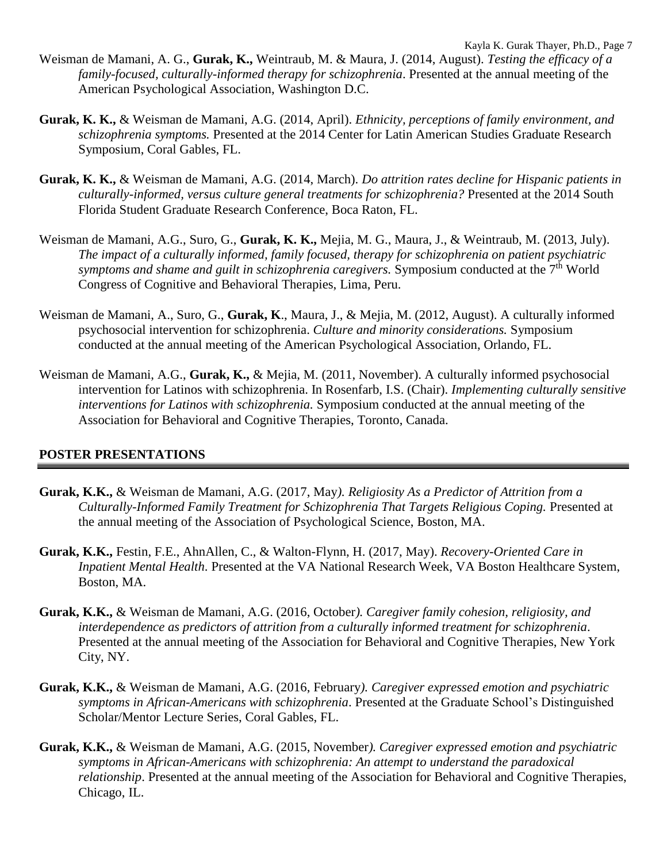- **Gurak, K. K.,** & Weisman de Mamani, A.G. (2014, April). *Ethnicity, perceptions of family environment, and schizophrenia symptoms.* Presented at the 2014 Center for Latin American Studies Graduate Research Symposium, Coral Gables, FL.
- **Gurak, K. K.,** & Weisman de Mamani, A.G. (2014, March). *Do attrition rates decline for Hispanic patients in culturally-informed, versus culture general treatments for schizophrenia?* Presented at the 2014 South Florida Student Graduate Research Conference, Boca Raton, FL.
- Weisman de Mamani, A.G., Suro, G., **Gurak, K. K.,** Mejia, M. G., Maura, J., & Weintraub, M. (2013, July). *The impact of a culturally informed, family focused, therapy for schizophrenia on patient psychiatric symptoms and shame and guilt in schizophrenia caregivers.* Symposium conducted at the 7<sup>th</sup> World Congress of Cognitive and Behavioral Therapies, Lima, Peru.
- Weisman de Mamani, A., Suro, G., **Gurak, K**., Maura, J., & Mejia, M. (2012, August). A culturally informed psychosocial intervention for schizophrenia. *Culture and minority considerations.* Symposium conducted at the annual meeting of the American Psychological Association, Orlando, FL.
- Weisman de Mamani, A.G., **Gurak, K.,** & Mejia, M. (2011, November). A culturally informed psychosocial intervention for Latinos with schizophrenia. In Rosenfarb, I.S. (Chair). *Implementing culturally sensitive interventions for Latinos with schizophrenia.* Symposium conducted at the annual meeting of the Association for Behavioral and Cognitive Therapies, Toronto, Canada.

## **POSTER PRESENTATIONS**

- **Gurak, K.K.,** & Weisman de Mamani, A.G. (2017, May*). Religiosity As a Predictor of Attrition from a Culturally-Informed Family Treatment for Schizophrenia That Targets Religious Coping.* Presented at the annual meeting of the Association of Psychological Science, Boston, MA.
- **Gurak, K.K.,** Festin, F.E., AhnAllen, C., & Walton-Flynn, H. (2017, May). *Recovery-Oriented Care in Inpatient Mental Health*. Presented at the VA National Research Week, VA Boston Healthcare System, Boston, MA.
- **Gurak, K.K.,** & Weisman de Mamani, A.G. (2016, October*). Caregiver family cohesion, religiosity, and interdependence as predictors of attrition from a culturally informed treatment for schizophrenia*. Presented at the annual meeting of the Association for Behavioral and Cognitive Therapies, New York City, NY.
- **Gurak, K.K.,** & Weisman de Mamani, A.G. (2016, February*). Caregiver expressed emotion and psychiatric symptoms in African-Americans with schizophrenia*. Presented at the Graduate School's Distinguished Scholar/Mentor Lecture Series, Coral Gables, FL.
- **Gurak, K.K.,** & Weisman de Mamani, A.G. (2015, November*). Caregiver expressed emotion and psychiatric symptoms in African-Americans with schizophrenia: An attempt to understand the paradoxical relationship*. Presented at the annual meeting of the Association for Behavioral and Cognitive Therapies, Chicago, IL.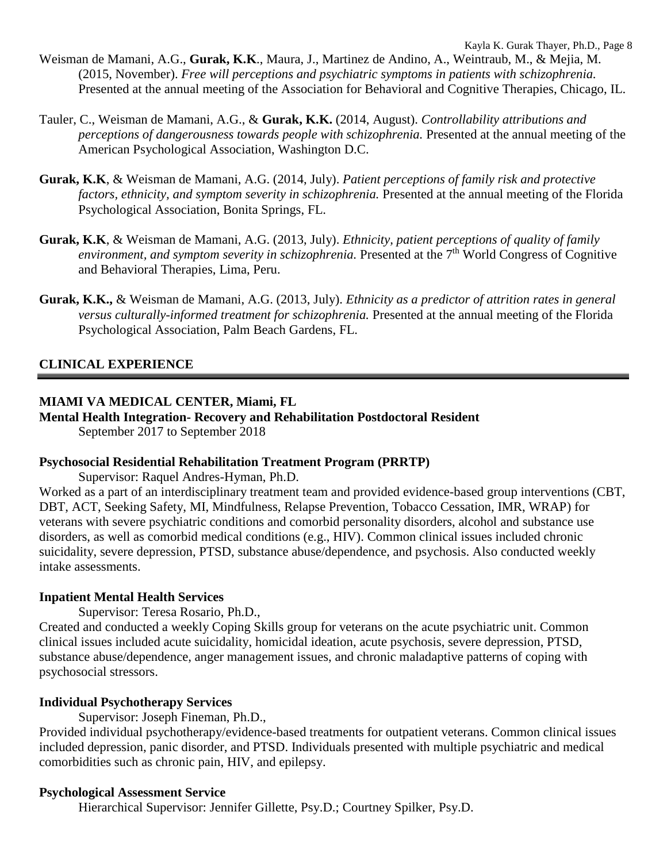Kayla K. Gurak Thayer, Ph.D., Page 8 Weisman de Mamani, A.G., **Gurak, K.K**., Maura, J., Martinez de Andino, A., Weintraub, M., & Mejia, M. (2015, November). *Free will perceptions and psychiatric symptoms in patients with schizophrenia.* Presented at the annual meeting of the Association for Behavioral and Cognitive Therapies, Chicago, IL.

- Tauler, C., Weisman de Mamani, A.G., & **Gurak, K.K.** (2014, August). *Controllability attributions and perceptions of dangerousness towards people with schizophrenia.* Presented at the annual meeting of the American Psychological Association, Washington D.C.
- **Gurak, K.K**, & Weisman de Mamani, A.G. (2014, July). *Patient perceptions of family risk and protective factors, ethnicity, and symptom severity in schizophrenia.* Presented at the annual meeting of the Florida Psychological Association, Bonita Springs, FL.
- **Gurak, K.K**, & Weisman de Mamani, A.G. (2013, July). *Ethnicity, patient perceptions of quality of family*  environment, and symptom severity in schizophrenia. Presented at the 7<sup>th</sup> World Congress of Cognitive and Behavioral Therapies, Lima, Peru.
- **Gurak, K.K.,** & Weisman de Mamani, A.G. (2013, July). *Ethnicity as a predictor of attrition rates in general versus culturally-informed treatment for schizophrenia.* Presented at the annual meeting of the Florida Psychological Association, Palm Beach Gardens, FL.

## **CLINICAL EXPERIENCE**

## **MIAMI VA MEDICAL CENTER, Miami, FL**

**Mental Health Integration- Recovery and Rehabilitation Postdoctoral Resident** September 2017 to September 2018

#### **Psychosocial Residential Rehabilitation Treatment Program (PRRTP)**

Supervisor: Raquel Andres-Hyman, Ph.D.

Worked as a part of an interdisciplinary treatment team and provided evidence-based group interventions (CBT, DBT, ACT, Seeking Safety, MI, Mindfulness, Relapse Prevention, Tobacco Cessation, IMR, WRAP) for veterans with severe psychiatric conditions and comorbid personality disorders, alcohol and substance use disorders, as well as comorbid medical conditions (e.g., HIV). Common clinical issues included chronic suicidality, severe depression, PTSD, substance abuse/dependence, and psychosis. Also conducted weekly intake assessments.

#### **Inpatient Mental Health Services**

Supervisor: Teresa Rosario, Ph.D.,

Created and conducted a weekly Coping Skills group for veterans on the acute psychiatric unit. Common clinical issues included acute suicidality, homicidal ideation, acute psychosis, severe depression, PTSD, substance abuse/dependence, anger management issues, and chronic maladaptive patterns of coping with psychosocial stressors.

## **Individual Psychotherapy Services**

Supervisor: Joseph Fineman, Ph.D.,

Provided individual psychotherapy/evidence-based treatments for outpatient veterans. Common clinical issues included depression, panic disorder, and PTSD. Individuals presented with multiple psychiatric and medical comorbidities such as chronic pain, HIV, and epilepsy.

#### **Psychological Assessment Service**

Hierarchical Supervisor: Jennifer Gillette, Psy.D.; Courtney Spilker, Psy.D.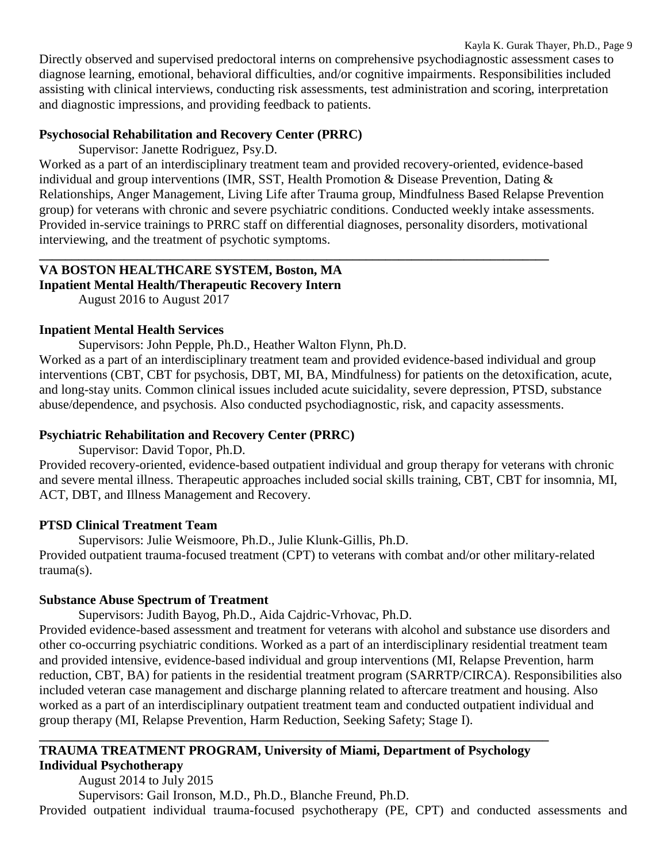Directly observed and supervised predoctoral interns on comprehensive psychodiagnostic assessment cases to diagnose learning, emotional, behavioral difficulties, and/or cognitive impairments. Responsibilities included assisting with clinical interviews, conducting risk assessments, test administration and scoring, interpretation and diagnostic impressions, and providing feedback to patients.

Kayla K. Gurak Thayer, Ph.D., Page 9

#### **Psychosocial Rehabilitation and Recovery Center (PRRC)**

Supervisor: Janette Rodriguez, Psy.D.

Worked as a part of an interdisciplinary treatment team and provided recovery-oriented, evidence-based individual and group interventions (IMR, SST, Health Promotion & Disease Prevention, Dating & Relationships, Anger Management, Living Life after Trauma group, Mindfulness Based Relapse Prevention group) for veterans with chronic and severe psychiatric conditions. Conducted weekly intake assessments. Provided in-service trainings to PRRC staff on differential diagnoses, personality disorders, motivational interviewing, and the treatment of psychotic symptoms.

## **\_\_\_\_\_\_\_\_\_\_\_\_\_\_\_\_\_\_\_\_\_\_\_\_\_\_\_\_\_\_\_\_\_\_\_\_\_\_\_\_\_\_\_\_\_\_\_\_\_\_\_\_\_\_\_\_\_\_\_\_\_\_\_\_\_\_\_\_\_\_\_\_\_\_\_\_\_\_ VA BOSTON HEALTHCARE SYSTEM, Boston, MA**

**Inpatient Mental Health/Therapeutic Recovery Intern**

August 2016 to August 2017

## **Inpatient Mental Health Services**

Supervisors: John Pepple, Ph.D., Heather Walton Flynn, Ph.D.

Worked as a part of an interdisciplinary treatment team and provided evidence-based individual and group interventions (CBT, CBT for psychosis, DBT, MI, BA, Mindfulness) for patients on the detoxification, acute, and long-stay units. Common clinical issues included acute suicidality, severe depression, PTSD, substance abuse/dependence, and psychosis. Also conducted psychodiagnostic, risk, and capacity assessments.

## **Psychiatric Rehabilitation and Recovery Center (PRRC)**

Supervisor: David Topor, Ph.D.

Provided recovery-oriented, evidence-based outpatient individual and group therapy for veterans with chronic and severe mental illness. Therapeutic approaches included social skills training, CBT, CBT for insomnia, MI, ACT, DBT, and Illness Management and Recovery.

## **PTSD Clinical Treatment Team**

Supervisors: Julie Weismoore, Ph.D., Julie Klunk-Gillis, Ph.D. Provided outpatient trauma-focused treatment (CPT) to veterans with combat and/or other military-related trauma(s).

## **Substance Abuse Spectrum of Treatment**

Supervisors: Judith Bayog, Ph.D., Aida Cajdric-Vrhovac, Ph.D.

Provided evidence-based assessment and treatment for veterans with alcohol and substance use disorders and other co-occurring psychiatric conditions. Worked as a part of an interdisciplinary residential treatment team and provided intensive, evidence-based individual and group interventions (MI, Relapse Prevention, harm reduction, CBT, BA) for patients in the residential treatment program (SARRTP/CIRCA). Responsibilities also included veteran case management and discharge planning related to aftercare treatment and housing. Also worked as a part of an interdisciplinary outpatient treatment team and conducted outpatient individual and group therapy (MI, Relapse Prevention, Harm Reduction, Seeking Safety; Stage I).

#### **\_\_\_\_\_\_\_\_\_\_\_\_\_\_\_\_\_\_\_\_\_\_\_\_\_\_\_\_\_\_\_\_\_\_\_\_\_\_\_\_\_\_\_\_\_\_\_\_\_\_\_\_\_\_\_\_\_\_\_\_\_\_\_\_\_\_\_\_\_\_\_\_\_\_\_\_\_\_ TRAUMA TREATMENT PROGRAM, University of Miami, Department of Psychology Individual Psychotherapy**

August 2014 to July 2015

Supervisors: Gail Ironson, M.D., Ph.D., Blanche Freund, Ph.D.

Provided outpatient individual trauma-focused psychotherapy (PE, CPT) and conducted assessments and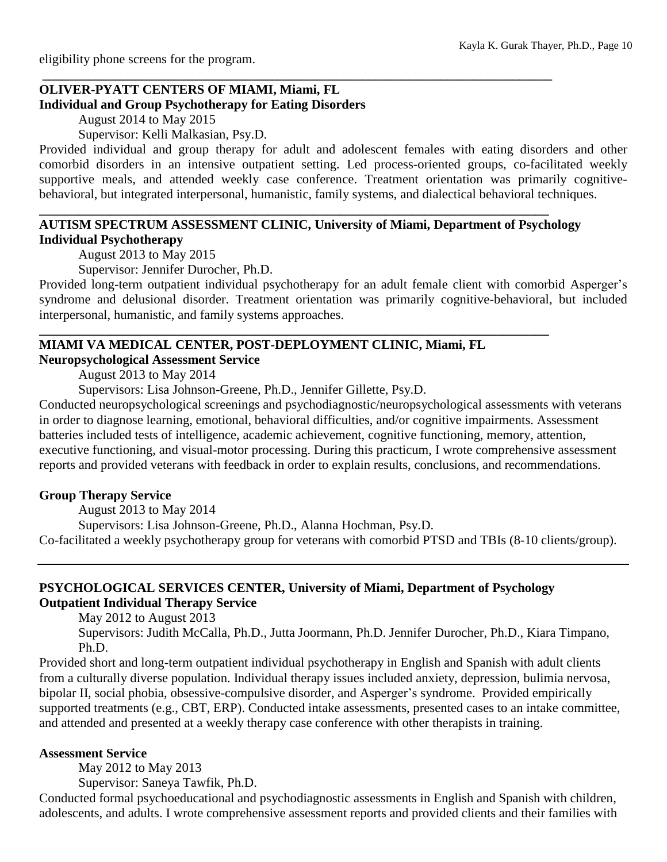eligibility phone screens for the program.

## **OLIVER-PYATT CENTERS OF MIAMI, Miami, FL Individual and Group Psychotherapy for Eating Disorders**

August 2014 to May 2015

Supervisor: Kelli Malkasian, Psy.D.

Provided individual and group therapy for adult and adolescent females with eating disorders and other comorbid disorders in an intensive outpatient setting. Led process-oriented groups, co-facilitated weekly supportive meals, and attended weekly case conference. Treatment orientation was primarily cognitivebehavioral, but integrated interpersonal, humanistic, family systems, and dialectical behavioral techniques.

#### **AUTISM SPECTRUM ASSESSMENT CLINIC, University of Miami, Department of Psychology Individual Psychotherapy**

**\_\_\_\_\_\_\_\_\_\_\_\_\_\_\_\_\_\_\_\_\_\_\_\_\_\_\_\_\_\_\_\_\_\_\_\_\_\_\_\_\_\_\_\_\_\_\_\_\_\_\_\_\_\_\_\_\_\_\_\_\_\_\_\_\_\_\_\_\_\_\_\_\_\_\_\_\_\_**

**\_\_\_\_\_\_\_\_\_\_\_\_\_\_\_\_\_\_\_\_\_\_\_\_\_\_\_\_\_\_\_\_\_\_\_\_\_\_\_\_\_\_\_\_\_\_\_\_\_\_\_\_\_\_\_\_\_\_\_\_\_\_\_\_\_\_\_\_\_\_\_\_\_\_\_\_\_\_**

**\_\_\_\_\_\_\_\_\_\_\_\_\_\_\_\_\_\_\_\_\_\_\_\_\_\_\_\_\_\_\_\_\_\_\_\_\_\_\_\_\_\_\_\_\_\_\_\_\_\_\_\_\_\_\_\_\_\_\_\_\_\_\_\_\_\_\_\_\_\_\_\_\_\_\_\_\_\_**

August 2013 to May 2015

Supervisor: Jennifer Durocher, Ph.D.

Provided long-term outpatient individual psychotherapy for an adult female client with comorbid Asperger's syndrome and delusional disorder. Treatment orientation was primarily cognitive-behavioral, but included interpersonal, humanistic, and family systems approaches.

## **MIAMI VA MEDICAL CENTER, POST-DEPLOYMENT CLINIC, Miami, FL Neuropsychological Assessment Service**

August 2013 to May 2014

Supervisors: Lisa Johnson-Greene, Ph.D., Jennifer Gillette, Psy.D.

Conducted neuropsychological screenings and psychodiagnostic/neuropsychological assessments with veterans in order to diagnose learning, emotional, behavioral difficulties, and/or cognitive impairments. Assessment batteries included tests of intelligence, academic achievement, cognitive functioning, memory, attention, executive functioning, and visual-motor processing. During this practicum, I wrote comprehensive assessment reports and provided veterans with feedback in order to explain results, conclusions, and recommendations.

#### **Group Therapy Service**

August 2013 to May 2014

Supervisors: Lisa Johnson-Greene, Ph.D., Alanna Hochman, Psy.D.

Co-facilitated a weekly psychotherapy group for veterans with comorbid PTSD and TBIs (8-10 clients/group).

#### **PSYCHOLOGICAL SERVICES CENTER, University of Miami, Department of Psychology Outpatient Individual Therapy Service**

May 2012 to August 2013

Supervisors: Judith McCalla, Ph.D., Jutta Joormann, Ph.D. Jennifer Durocher, Ph.D., Kiara Timpano, Ph.D.

Provided short and long-term outpatient individual psychotherapy in English and Spanish with adult clients from a culturally diverse population. Individual therapy issues included anxiety, depression, bulimia nervosa, bipolar II, social phobia, obsessive-compulsive disorder, and Asperger's syndrome. Provided empirically supported treatments (e.g., CBT, ERP). Conducted intake assessments, presented cases to an intake committee, and attended and presented at a weekly therapy case conference with other therapists in training.

#### **Assessment Service**

May 2012 to May 2013

Supervisor: Saneya Tawfik, Ph.D.

Conducted formal psychoeducational and psychodiagnostic assessments in English and Spanish with children, adolescents, and adults. I wrote comprehensive assessment reports and provided clients and their families with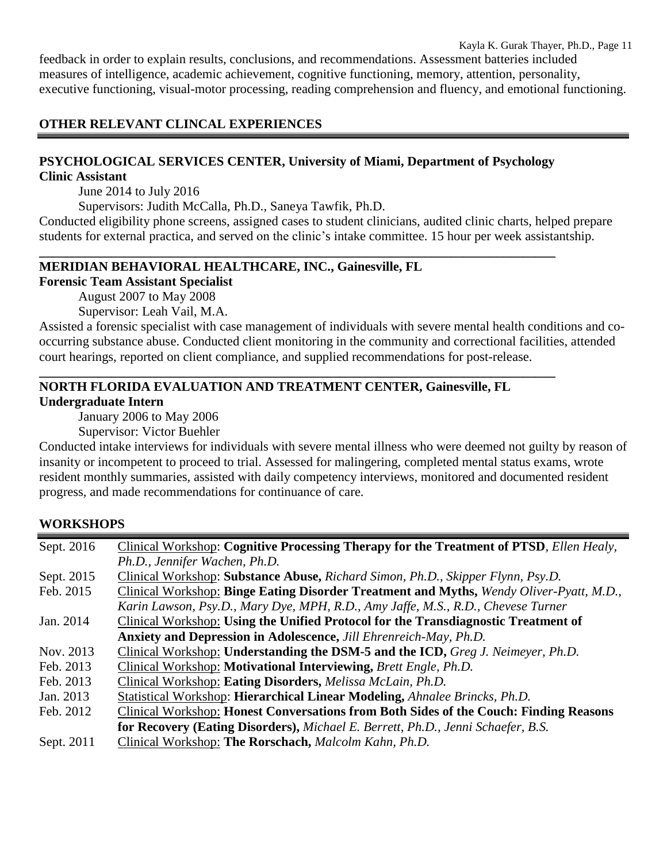Kayla K. Gurak Thayer, Ph.D., Page 11 feedback in order to explain results, conclusions, and recommendations. Assessment batteries included measures of intelligence, academic achievement, cognitive functioning, memory, attention, personality, executive functioning, visual-motor processing, reading comprehension and fluency, and emotional functioning.

## **OTHER RELEVANT CLINCAL EXPERIENCES**

## **PSYCHOLOGICAL SERVICES CENTER, University of Miami, Department of Psychology**

**\_\_\_\_\_\_\_\_\_\_\_\_\_\_\_\_\_\_\_\_\_\_\_\_\_\_\_\_\_\_\_\_\_\_\_\_\_\_\_\_\_\_\_\_\_\_\_\_\_\_\_\_\_\_\_\_\_\_\_\_\_\_\_\_\_\_\_\_\_\_\_\_\_\_\_\_\_\_\_**

**\_\_\_\_\_\_\_\_\_\_\_\_\_\_\_\_\_\_\_\_\_\_\_\_\_\_\_\_\_\_\_\_\_\_\_\_\_\_\_\_\_\_\_\_\_\_\_\_\_\_\_\_\_\_\_\_\_\_\_\_\_\_\_\_\_\_\_\_\_\_\_\_\_\_\_\_\_\_\_**

**Clinic Assistant** 

June 2014 to July 2016

Supervisors: Judith McCalla, Ph.D., Saneya Tawfik, Ph.D.

Conducted eligibility phone screens, assigned cases to student clinicians, audited clinic charts, helped prepare students for external practica, and served on the clinic's intake committee. 15 hour per week assistantship.

## **MERIDIAN BEHAVIORAL HEALTHCARE, INC., Gainesville, FL**

**Forensic Team Assistant Specialist** 

August 2007 to May 2008

Supervisor: Leah Vail, M.A.

Assisted a forensic specialist with case management of individuals with severe mental health conditions and cooccurring substance abuse. Conducted client monitoring in the community and correctional facilities, attended court hearings, reported on client compliance, and supplied recommendations for post-release.

#### **NORTH FLORIDA EVALUATION AND TREATMENT CENTER, Gainesville, FL Undergraduate Intern**

January 2006 to May 2006

Supervisor: Victor Buehler

Conducted intake interviews for individuals with severe mental illness who were deemed not guilty by reason of insanity or incompetent to proceed to trial. Assessed for malingering, completed mental status exams, wrote resident monthly summaries, assisted with daily competency interviews, monitored and documented resident progress, and made recommendations for continuance of care.

## **WORKSHOPS**

| Sept. 2016 | Clinical Workshop: Cognitive Processing Therapy for the Treatment of PTSD, Ellen Healy, |
|------------|-----------------------------------------------------------------------------------------|
|            | Ph.D., Jennifer Wachen, Ph.D.                                                           |
| Sept. 2015 | Clinical Workshop: Substance Abuse, Richard Simon, Ph.D., Skipper Flynn, Psy.D.         |
| Feb. 2015  | Clinical Workshop: Binge Eating Disorder Treatment and Myths, Wendy Oliver-Pyatt, M.D., |
|            | Karin Lawson, Psy.D., Mary Dye, MPH, R.D., Amy Jaffe, M.S., R.D., Chevese Turner        |
| Jan. 2014  | Clinical Workshop: Using the Unified Protocol for the Transdiagnostic Treatment of      |
|            | Anxiety and Depression in Adolescence, Jill Ehrenreich-May, Ph.D.                       |
| Nov. 2013  | Clinical Workshop: Understanding the DSM-5 and the ICD, Greg J. Neimeyer, Ph.D.         |
| Feb. 2013  | Clinical Workshop: Motivational Interviewing, Brett Engle, Ph.D.                        |
| Feb. 2013  | Clinical Workshop: Eating Disorders, Melissa McLain, Ph.D.                              |
| Jan. 2013  | Statistical Workshop: Hierarchical Linear Modeling, Ahnalee Brincks, Ph.D.              |
| Feb. 2012  | Clinical Workshop: Honest Conversations from Both Sides of the Couch: Finding Reasons   |
|            | for Recovery (Eating Disorders), Michael E. Berrett, Ph.D., Jenni Schaefer, B.S.        |
| Sept. 2011 | Clinical Workshop: The Rorschach, Malcolm Kahn, Ph.D.                                   |